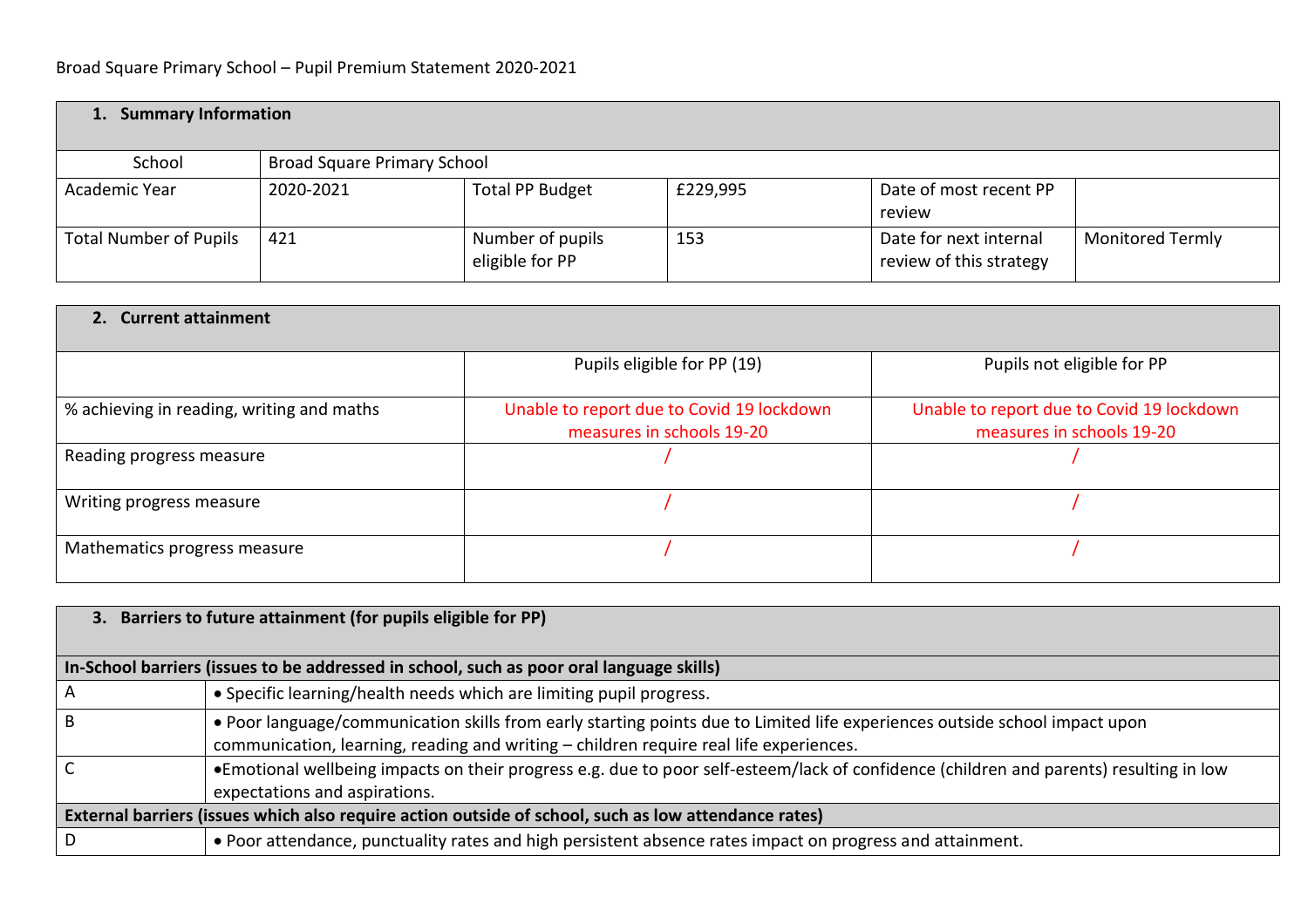| 1. Summary Information        |                                    |                                     |          |                                                   |                         |
|-------------------------------|------------------------------------|-------------------------------------|----------|---------------------------------------------------|-------------------------|
| School                        | <b>Broad Square Primary School</b> |                                     |          |                                                   |                         |
| Academic Year                 | 2020-2021                          | <b>Total PP Budget</b>              | £229,995 | Date of most recent PP<br>review                  |                         |
| <b>Total Number of Pupils</b> | 421                                | Number of pupils<br>eligible for PP | 153      | Date for next internal<br>review of this strategy | <b>Monitored Termly</b> |

| 2. Current attainment                     |                                                                        |                                                                        |  |  |  |  |  |
|-------------------------------------------|------------------------------------------------------------------------|------------------------------------------------------------------------|--|--|--|--|--|
|                                           | Pupils eligible for PP (19)                                            | Pupils not eligible for PP                                             |  |  |  |  |  |
| % achieving in reading, writing and maths | Unable to report due to Covid 19 lockdown<br>measures in schools 19-20 | Unable to report due to Covid 19 lockdown<br>measures in schools 19-20 |  |  |  |  |  |
| Reading progress measure                  |                                                                        |                                                                        |  |  |  |  |  |
| Writing progress measure                  |                                                                        |                                                                        |  |  |  |  |  |
| Mathematics progress measure              |                                                                        |                                                                        |  |  |  |  |  |

|                                                                                          | 3. Barriers to future attainment (for pupils eligible for PP)                                                                                                                                                        |  |  |  |  |
|------------------------------------------------------------------------------------------|----------------------------------------------------------------------------------------------------------------------------------------------------------------------------------------------------------------------|--|--|--|--|
| In-School barriers (issues to be addressed in school, such as poor oral language skills) |                                                                                                                                                                                                                      |  |  |  |  |
|                                                                                          | • Specific learning/health needs which are limiting pupil progress.                                                                                                                                                  |  |  |  |  |
|                                                                                          | • Poor language/communication skills from early starting points due to Limited life experiences outside school impact upon<br>communication, learning, reading and writing - children require real life experiences. |  |  |  |  |
|                                                                                          | •Emotional wellbeing impacts on their progress e.g. due to poor self-esteem/lack of confidence (children and parents) resulting in low<br>expectations and aspirations.                                              |  |  |  |  |
|                                                                                          | External barriers (issues which also require action outside of school, such as low attendance rates)                                                                                                                 |  |  |  |  |
| D                                                                                        | . Poor attendance, punctuality rates and high persistent absence rates impact on progress and attainment.                                                                                                            |  |  |  |  |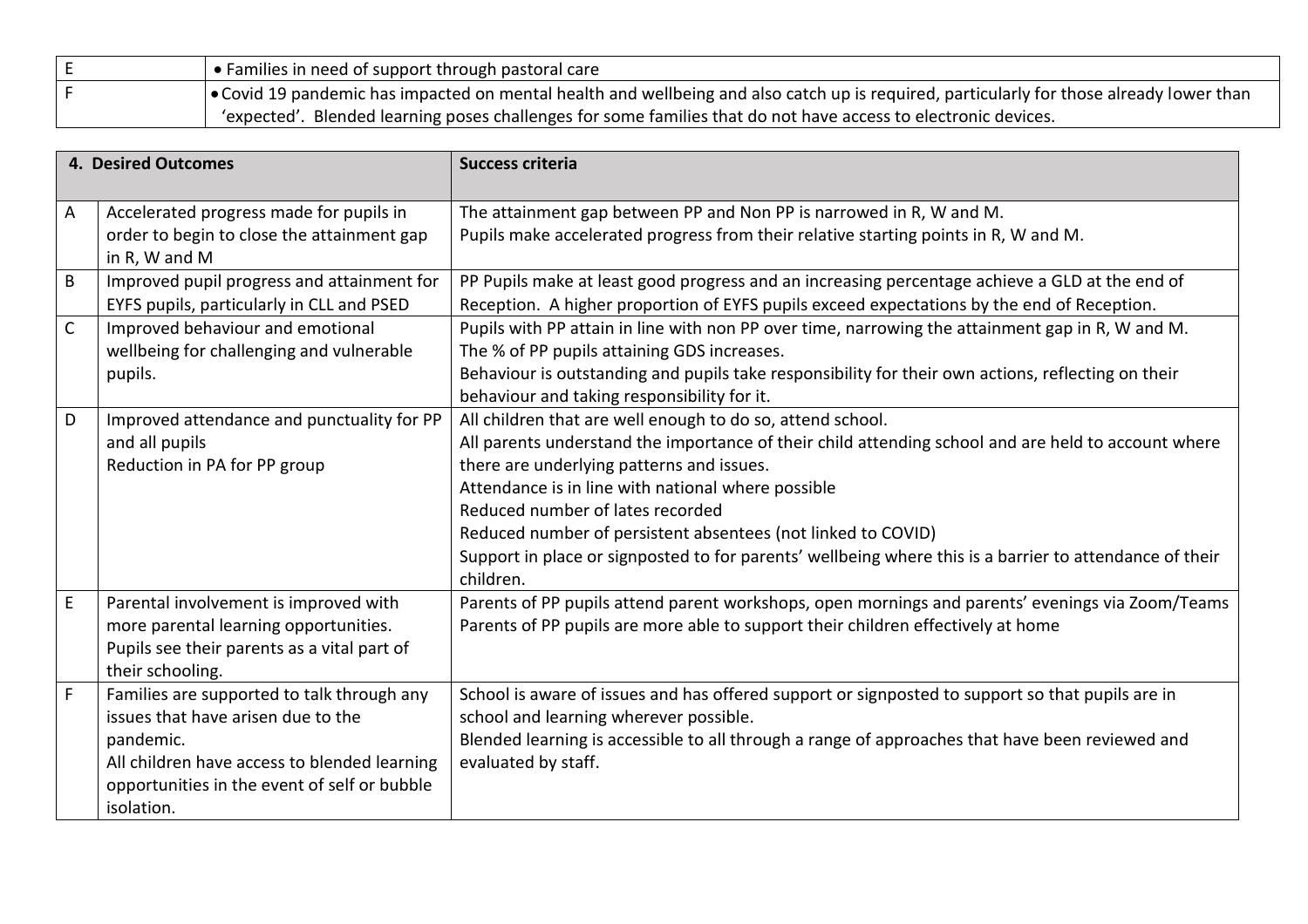| $\bullet$ Families in need of support through pastoral care                                                                              |
|------------------------------------------------------------------------------------------------------------------------------------------|
| ● Covid 19 pandemic has impacted on mental health and wellbeing and also catch up is required, particularly for those already lower than |
| 'expected'. Blended learning poses challenges for some families that do not have access to electronic devices.                           |

|              | <b>4. Desired Outcomes</b>                   | <b>Success criteria</b>                                                                                 |
|--------------|----------------------------------------------|---------------------------------------------------------------------------------------------------------|
| A            | Accelerated progress made for pupils in      | The attainment gap between PP and Non PP is narrowed in R, W and M.                                     |
|              | order to begin to close the attainment gap   | Pupils make accelerated progress from their relative starting points in R, W and M.                     |
|              | in R, W and M                                |                                                                                                         |
| B            | Improved pupil progress and attainment for   | PP Pupils make at least good progress and an increasing percentage achieve a GLD at the end of          |
|              | EYFS pupils, particularly in CLL and PSED    | Reception. A higher proportion of EYFS pupils exceed expectations by the end of Reception.              |
| $\mathsf{C}$ | Improved behaviour and emotional             | Pupils with PP attain in line with non PP over time, narrowing the attainment gap in R, W and M.        |
|              | wellbeing for challenging and vulnerable     | The % of PP pupils attaining GDS increases.                                                             |
|              | pupils.                                      | Behaviour is outstanding and pupils take responsibility for their own actions, reflecting on their      |
|              |                                              | behaviour and taking responsibility for it.                                                             |
| D            | Improved attendance and punctuality for PP   | All children that are well enough to do so, attend school.                                              |
|              | and all pupils                               | All parents understand the importance of their child attending school and are held to account where     |
|              | Reduction in PA for PP group                 | there are underlying patterns and issues.                                                               |
|              |                                              | Attendance is in line with national where possible                                                      |
|              |                                              | Reduced number of lates recorded                                                                        |
|              |                                              | Reduced number of persistent absentees (not linked to COVID)                                            |
|              |                                              | Support in place or signposted to for parents' wellbeing where this is a barrier to attendance of their |
|              |                                              | children.                                                                                               |
| $\mathsf E$  | Parental involvement is improved with        | Parents of PP pupils attend parent workshops, open mornings and parents' evenings via Zoom/Teams        |
|              | more parental learning opportunities.        | Parents of PP pupils are more able to support their children effectively at home                        |
|              | Pupils see their parents as a vital part of  |                                                                                                         |
|              | their schooling.                             |                                                                                                         |
| $\mathsf F$  | Families are supported to talk through any   | School is aware of issues and has offered support or signposted to support so that pupils are in        |
|              | issues that have arisen due to the           | school and learning wherever possible.                                                                  |
|              | pandemic.                                    | Blended learning is accessible to all through a range of approaches that have been reviewed and         |
|              | All children have access to blended learning | evaluated by staff.                                                                                     |
|              | opportunities in the event of self or bubble |                                                                                                         |
|              | isolation.                                   |                                                                                                         |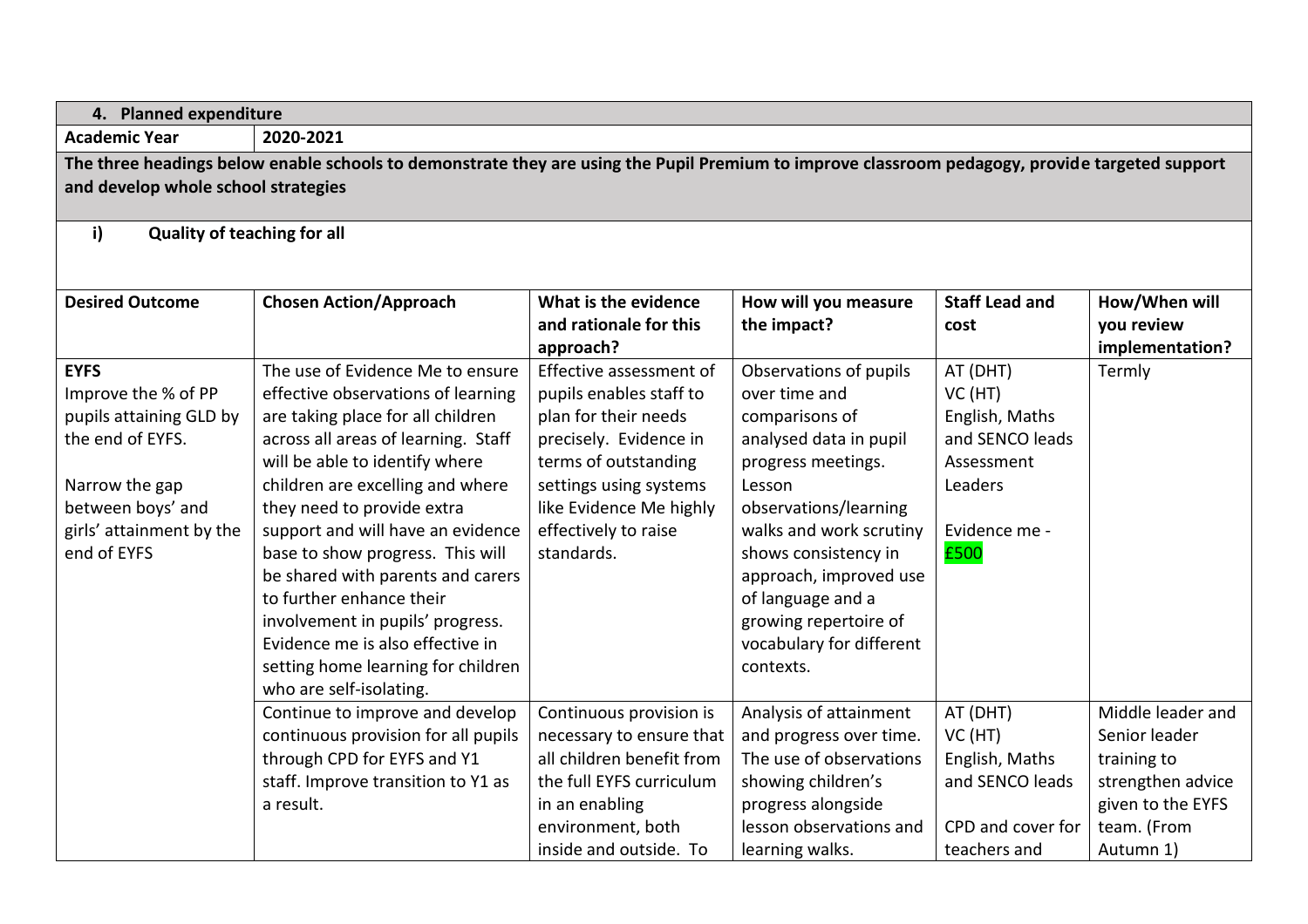|                                                                                                                                                                                        | 4. Planned expenditure                                                                                                                                                                                                                                                                                                                                                                                                                                                                                                                    |                                                                                                                                                                                                                         |                                                                                                                                                                                                                                                                                                                  |                                                                                                           |                                                                                                                         |  |
|----------------------------------------------------------------------------------------------------------------------------------------------------------------------------------------|-------------------------------------------------------------------------------------------------------------------------------------------------------------------------------------------------------------------------------------------------------------------------------------------------------------------------------------------------------------------------------------------------------------------------------------------------------------------------------------------------------------------------------------------|-------------------------------------------------------------------------------------------------------------------------------------------------------------------------------------------------------------------------|------------------------------------------------------------------------------------------------------------------------------------------------------------------------------------------------------------------------------------------------------------------------------------------------------------------|-----------------------------------------------------------------------------------------------------------|-------------------------------------------------------------------------------------------------------------------------|--|
| <b>Academic Year</b>                                                                                                                                                                   | 2020-2021                                                                                                                                                                                                                                                                                                                                                                                                                                                                                                                                 |                                                                                                                                                                                                                         |                                                                                                                                                                                                                                                                                                                  |                                                                                                           |                                                                                                                         |  |
| The three headings below enable schools to demonstrate they are using the Pupil Premium to improve classroom pedagogy, provide targeted support<br>and develop whole school strategies |                                                                                                                                                                                                                                                                                                                                                                                                                                                                                                                                           |                                                                                                                                                                                                                         |                                                                                                                                                                                                                                                                                                                  |                                                                                                           |                                                                                                                         |  |
| i)                                                                                                                                                                                     | <b>Quality of teaching for all</b>                                                                                                                                                                                                                                                                                                                                                                                                                                                                                                        |                                                                                                                                                                                                                         |                                                                                                                                                                                                                                                                                                                  |                                                                                                           |                                                                                                                         |  |
| <b>Desired Outcome</b>                                                                                                                                                                 | <b>Chosen Action/Approach</b>                                                                                                                                                                                                                                                                                                                                                                                                                                                                                                             | What is the evidence<br>and rationale for this<br>approach?                                                                                                                                                             | How will you measure<br>the impact?                                                                                                                                                                                                                                                                              | <b>Staff Lead and</b><br>cost                                                                             | How/When will<br>you review<br>implementation?                                                                          |  |
| <b>EYFS</b><br>Improve the % of PP<br>pupils attaining GLD by<br>the end of EYFS.<br>Narrow the gap<br>between boys' and<br>girls' attainment by the<br>end of EYFS                    | The use of Evidence Me to ensure<br>effective observations of learning<br>are taking place for all children<br>across all areas of learning. Staff<br>will be able to identify where<br>children are excelling and where<br>they need to provide extra<br>support and will have an evidence<br>base to show progress. This will<br>be shared with parents and carers<br>to further enhance their<br>involvement in pupils' progress.<br>Evidence me is also effective in<br>setting home learning for children<br>who are self-isolating. | Effective assessment of<br>pupils enables staff to<br>plan for their needs<br>precisely. Evidence in<br>terms of outstanding<br>settings using systems<br>like Evidence Me highly<br>effectively to raise<br>standards. | Observations of pupils<br>over time and<br>comparisons of<br>analysed data in pupil<br>progress meetings.<br>Lesson<br>observations/learning<br>walks and work scrutiny<br>shows consistency in<br>approach, improved use<br>of language and a<br>growing repertoire of<br>vocabulary for different<br>contexts. | AT (DHT)<br>VC(HT)<br>English, Maths<br>and SENCO leads<br>Assessment<br>Leaders<br>Evidence me -<br>£500 | Termly                                                                                                                  |  |
|                                                                                                                                                                                        | Continue to improve and develop<br>continuous provision for all pupils<br>through CPD for EYFS and Y1<br>staff. Improve transition to Y1 as<br>a result.                                                                                                                                                                                                                                                                                                                                                                                  | Continuous provision is<br>necessary to ensure that<br>all children benefit from<br>the full EYFS curriculum<br>in an enabling<br>environment, both<br>inside and outside. To                                           | Analysis of attainment<br>and progress over time.<br>The use of observations<br>showing children's<br>progress alongside<br>lesson observations and<br>learning walks.                                                                                                                                           | AT (DHT)<br>VC(HT)<br>English, Maths<br>and SENCO leads<br>CPD and cover for<br>teachers and              | Middle leader and<br>Senior leader<br>training to<br>strengthen advice<br>given to the EYFS<br>team. (From<br>Autumn 1) |  |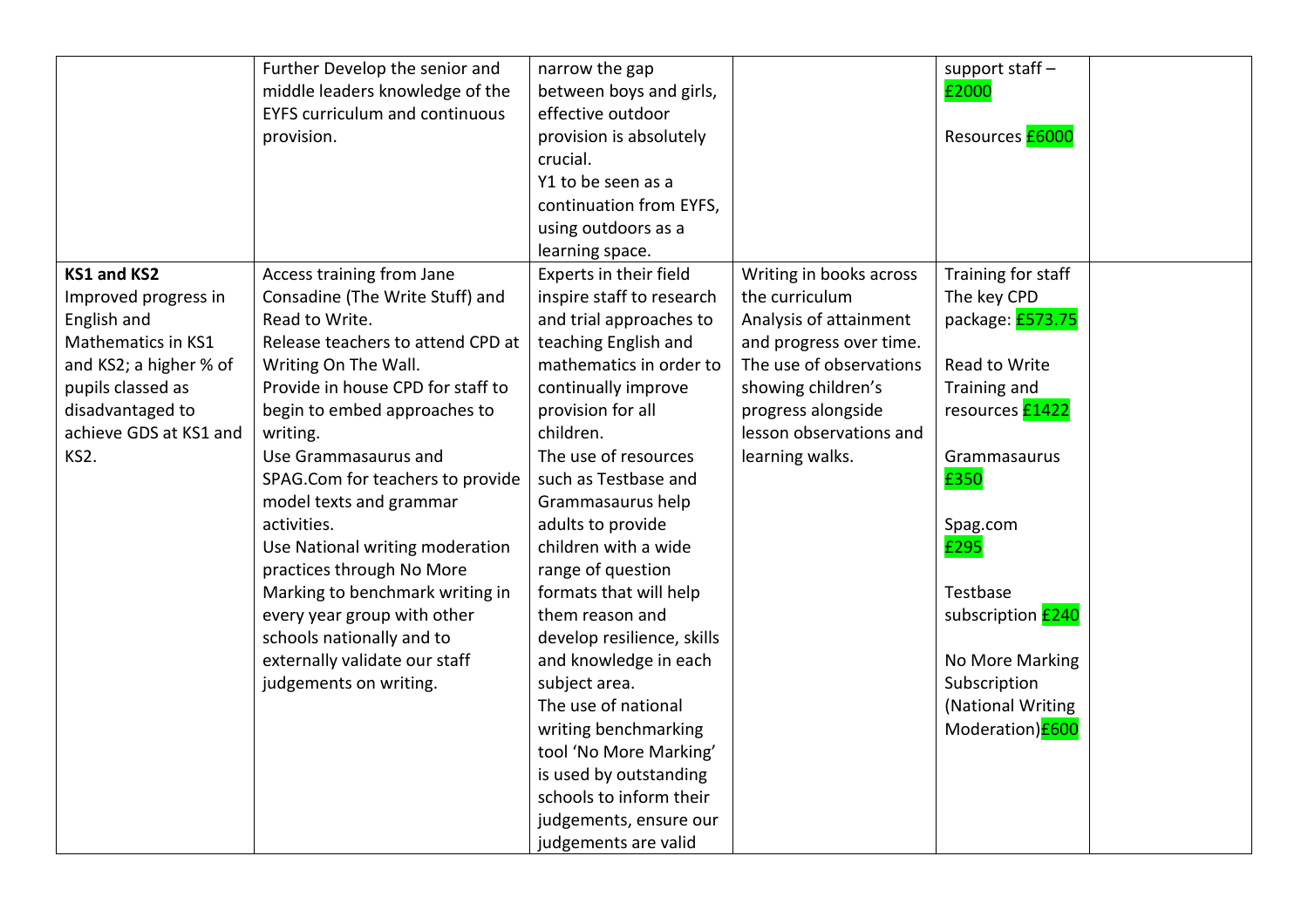|                        | Further Develop the senior and        | narrow the gap             |                         | support staff -          |  |
|------------------------|---------------------------------------|----------------------------|-------------------------|--------------------------|--|
|                        | middle leaders knowledge of the       | between boys and girls,    |                         | £2000                    |  |
|                        | <b>EYFS curriculum and continuous</b> | effective outdoor          |                         |                          |  |
|                        | provision.                            | provision is absolutely    |                         | Resources <b>£6000</b>   |  |
|                        |                                       | crucial.                   |                         |                          |  |
|                        |                                       | Y1 to be seen as a         |                         |                          |  |
|                        |                                       | continuation from EYFS,    |                         |                          |  |
|                        |                                       | using outdoors as a        |                         |                          |  |
|                        |                                       | learning space.            |                         |                          |  |
| <b>KS1 and KS2</b>     | Access training from Jane             | Experts in their field     | Writing in books across | Training for staff       |  |
| Improved progress in   | Consadine (The Write Stuff) and       | inspire staff to research  | the curriculum          | The key CPD              |  |
| English and            | Read to Write.                        | and trial approaches to    | Analysis of attainment  | package: £573.75         |  |
| Mathematics in KS1     | Release teachers to attend CPD at     | teaching English and       | and progress over time. |                          |  |
| and KS2; a higher % of | Writing On The Wall.                  | mathematics in order to    | The use of observations | Read to Write            |  |
| pupils classed as      | Provide in house CPD for staff to     | continually improve        | showing children's      | Training and             |  |
| disadvantaged to       | begin to embed approaches to          | provision for all          | progress alongside      | resources <b>£1422</b>   |  |
| achieve GDS at KS1 and | writing.                              | children.                  | lesson observations and |                          |  |
| KS2.                   | Use Grammasaurus and                  | The use of resources       | learning walks.         | Grammasaurus             |  |
|                        | SPAG.Com for teachers to provide      | such as Testbase and       |                         | £350                     |  |
|                        | model texts and grammar               | Grammasaurus help          |                         |                          |  |
|                        | activities.                           | adults to provide          |                         | Spag.com                 |  |
|                        | Use National writing moderation       | children with a wide       |                         | £295                     |  |
|                        | practices through No More             | range of question          |                         |                          |  |
|                        | Marking to benchmark writing in       | formats that will help     |                         | Testbase                 |  |
|                        | every year group with other           | them reason and            |                         | subscription <b>£240</b> |  |
|                        | schools nationally and to             | develop resilience, skills |                         |                          |  |
|                        | externally validate our staff         | and knowledge in each      |                         | No More Marking          |  |
|                        | judgements on writing.                | subject area.              |                         | Subscription             |  |
|                        |                                       | The use of national        |                         | (National Writing        |  |
|                        |                                       | writing benchmarking       |                         | Moderation) <b>£600</b>  |  |
|                        |                                       | tool 'No More Marking'     |                         |                          |  |
|                        |                                       | is used by outstanding     |                         |                          |  |
|                        |                                       | schools to inform their    |                         |                          |  |
|                        |                                       | judgements, ensure our     |                         |                          |  |
|                        |                                       | judgements are valid       |                         |                          |  |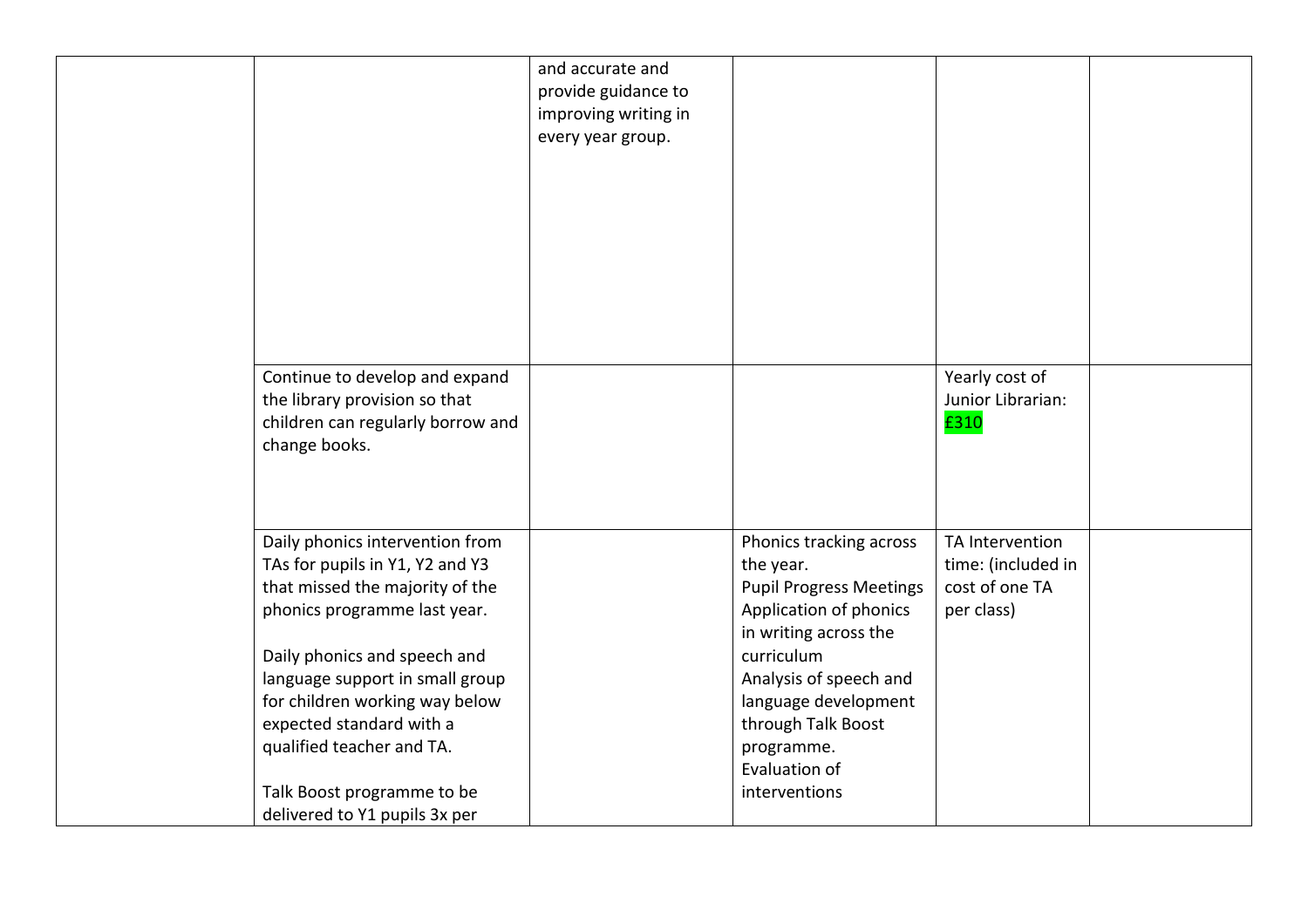|                                                                                                                                                                                                                                                                                                                                                                    | and accurate and<br>provide guidance to<br>improving writing in<br>every year group. |                                                                                                                                                                                                                                                                 |                                                                       |  |
|--------------------------------------------------------------------------------------------------------------------------------------------------------------------------------------------------------------------------------------------------------------------------------------------------------------------------------------------------------------------|--------------------------------------------------------------------------------------|-----------------------------------------------------------------------------------------------------------------------------------------------------------------------------------------------------------------------------------------------------------------|-----------------------------------------------------------------------|--|
| Continue to develop and expand<br>the library provision so that<br>children can regularly borrow and<br>change books.                                                                                                                                                                                                                                              |                                                                                      |                                                                                                                                                                                                                                                                 | Yearly cost of<br>Junior Librarian:<br>£310                           |  |
| Daily phonics intervention from<br>TAs for pupils in Y1, Y2 and Y3<br>that missed the majority of the<br>phonics programme last year.<br>Daily phonics and speech and<br>language support in small group<br>for children working way below<br>expected standard with a<br>qualified teacher and TA.<br>Talk Boost programme to be<br>delivered to Y1 pupils 3x per |                                                                                      | Phonics tracking across<br>the year.<br><b>Pupil Progress Meetings</b><br>Application of phonics<br>in writing across the<br>curriculum<br>Analysis of speech and<br>language development<br>through Talk Boost<br>programme.<br>Evaluation of<br>interventions | TA Intervention<br>time: (included in<br>cost of one TA<br>per class) |  |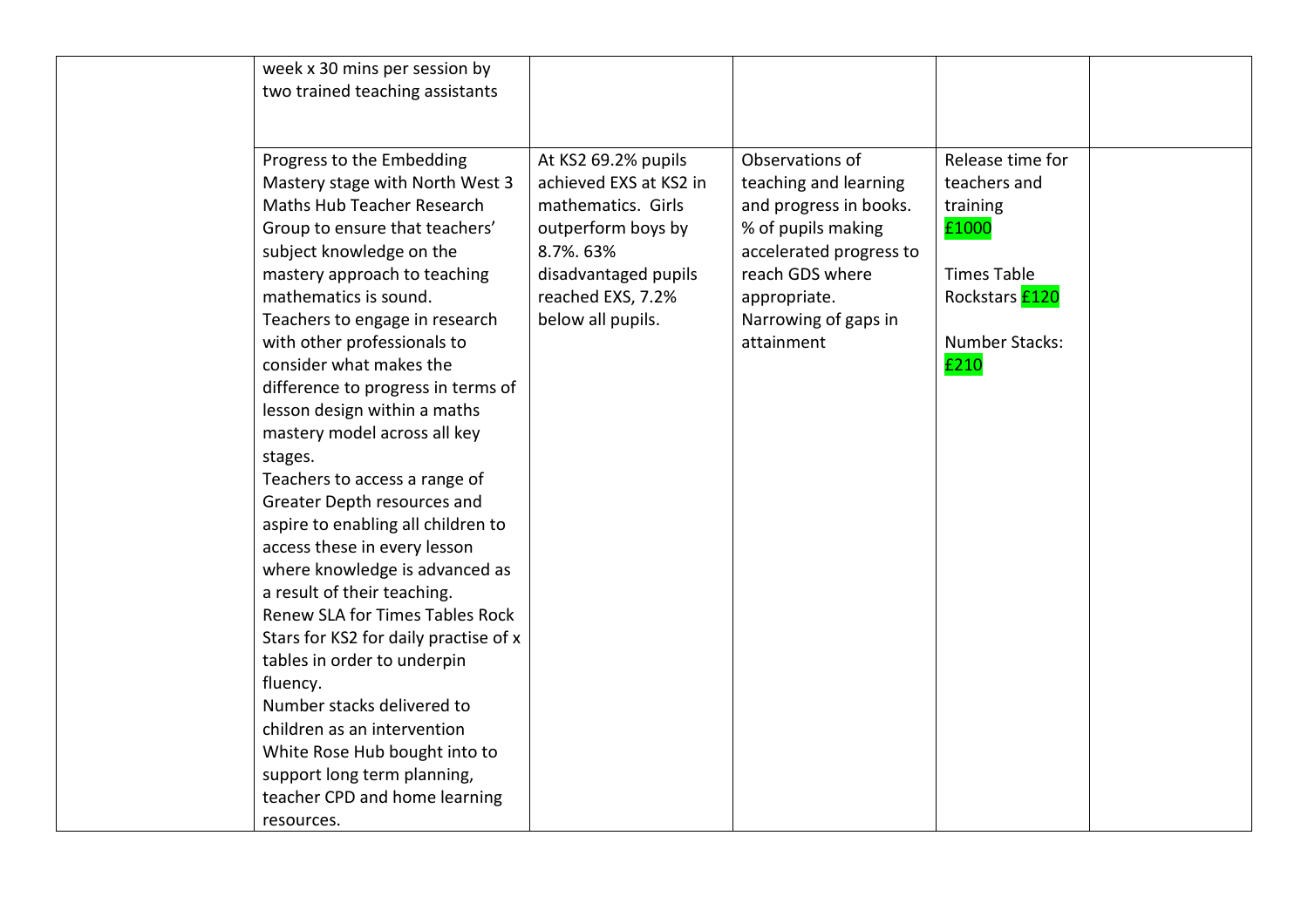| week x 30 mins per session by         |                        |                         |                       |  |
|---------------------------------------|------------------------|-------------------------|-----------------------|--|
| two trained teaching assistants       |                        |                         |                       |  |
|                                       |                        |                         |                       |  |
|                                       |                        |                         |                       |  |
| Progress to the Embedding             | At KS2 69.2% pupils    | Observations of         | Release time for      |  |
| Mastery stage with North West 3       | achieved EXS at KS2 in | teaching and learning   | teachers and          |  |
| Maths Hub Teacher Research            | mathematics. Girls     | and progress in books.  | training              |  |
| Group to ensure that teachers'        | outperform boys by     | % of pupils making      | £1000                 |  |
| subject knowledge on the              | 8.7%. 63%              | accelerated progress to |                       |  |
| mastery approach to teaching          | disadvantaged pupils   | reach GDS where         | <b>Times Table</b>    |  |
| mathematics is sound.                 | reached EXS, 7.2%      | appropriate.            | Rockstars <b>£120</b> |  |
| Teachers to engage in research        | below all pupils.      | Narrowing of gaps in    |                       |  |
| with other professionals to           |                        | attainment              | Number Stacks:        |  |
| consider what makes the               |                        |                         | £210                  |  |
| difference to progress in terms of    |                        |                         |                       |  |
| lesson design within a maths          |                        |                         |                       |  |
| mastery model across all key          |                        |                         |                       |  |
| stages.                               |                        |                         |                       |  |
| Teachers to access a range of         |                        |                         |                       |  |
| Greater Depth resources and           |                        |                         |                       |  |
| aspire to enabling all children to    |                        |                         |                       |  |
| access these in every lesson          |                        |                         |                       |  |
| where knowledge is advanced as        |                        |                         |                       |  |
| a result of their teaching.           |                        |                         |                       |  |
| Renew SLA for Times Tables Rock       |                        |                         |                       |  |
| Stars for KS2 for daily practise of x |                        |                         |                       |  |
| tables in order to underpin           |                        |                         |                       |  |
| fluency.                              |                        |                         |                       |  |
| Number stacks delivered to            |                        |                         |                       |  |
| children as an intervention           |                        |                         |                       |  |
| White Rose Hub bought into to         |                        |                         |                       |  |
| support long term planning,           |                        |                         |                       |  |
| teacher CPD and home learning         |                        |                         |                       |  |
| resources.                            |                        |                         |                       |  |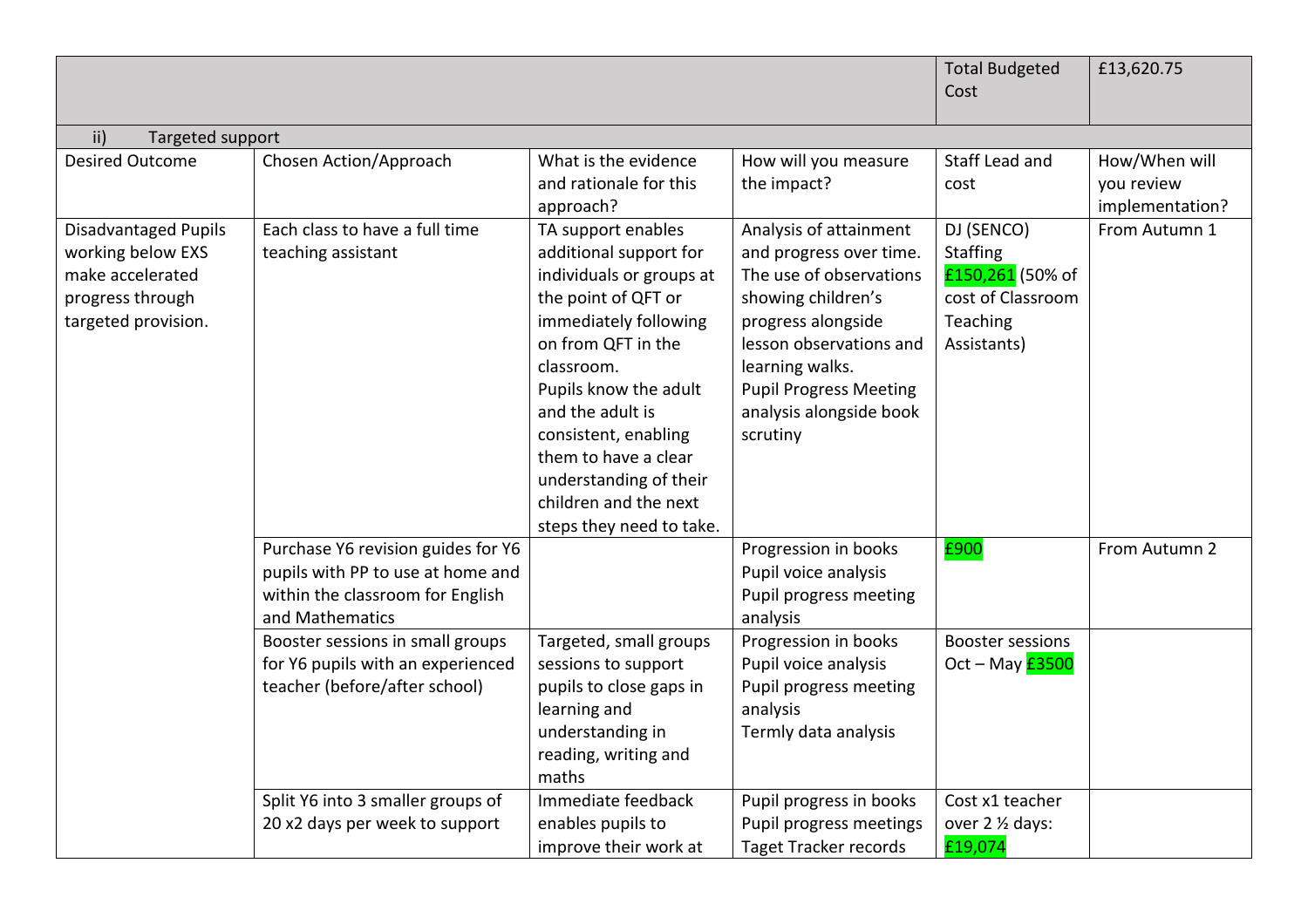|                             |                                    |                               |                               | <b>Total Budgeted</b>   | £13,620.75      |
|-----------------------------|------------------------------------|-------------------------------|-------------------------------|-------------------------|-----------------|
|                             |                                    |                               |                               | Cost                    |                 |
|                             |                                    |                               |                               |                         |                 |
| ii)<br>Targeted support     |                                    |                               |                               |                         |                 |
| <b>Desired Outcome</b>      | Chosen Action/Approach             | What is the evidence          | How will you measure          | Staff Lead and          | How/When will   |
|                             |                                    | and rationale for this        | the impact?                   | cost                    | you review      |
|                             |                                    | approach?                     |                               |                         | implementation? |
| <b>Disadvantaged Pupils</b> | Each class to have a full time     | TA support enables            | Analysis of attainment        | DJ (SENCO)              | From Autumn 1   |
| working below EXS           | teaching assistant                 | additional support for        | and progress over time.       | <b>Staffing</b>         |                 |
| make accelerated            |                                    | individuals or groups at      | The use of observations       | £150,261 (50% of        |                 |
| progress through            |                                    | the point of QFT or           | showing children's            | cost of Classroom       |                 |
| targeted provision.         |                                    | immediately following         | progress alongside            | Teaching                |                 |
|                             |                                    | on from QFT in the            | lesson observations and       | Assistants)             |                 |
|                             |                                    | classroom.                    | learning walks.               |                         |                 |
|                             |                                    | Pupils know the adult         | <b>Pupil Progress Meeting</b> |                         |                 |
|                             |                                    | and the adult is              | analysis alongside book       |                         |                 |
|                             |                                    | consistent, enabling          | scrutiny                      |                         |                 |
|                             |                                    | them to have a clear          |                               |                         |                 |
|                             |                                    | understanding of their        |                               |                         |                 |
|                             |                                    | children and the next         |                               |                         |                 |
|                             |                                    | steps they need to take.      |                               |                         |                 |
|                             | Purchase Y6 revision guides for Y6 |                               | Progression in books          | £900                    | From Autumn 2   |
|                             | pupils with PP to use at home and  |                               | Pupil voice analysis          |                         |                 |
|                             | within the classroom for English   |                               | Pupil progress meeting        |                         |                 |
|                             | and Mathematics                    |                               | analysis                      |                         |                 |
|                             | Booster sessions in small groups   | Targeted, small groups        | Progression in books          | <b>Booster sessions</b> |                 |
|                             | for Y6 pupils with an experienced  | sessions to support           | Pupil voice analysis          | Oct - May $E$ 3500      |                 |
|                             | teacher (before/after school)      | pupils to close gaps in       | Pupil progress meeting        |                         |                 |
|                             |                                    | learning and                  | analysis                      |                         |                 |
|                             |                                    | understanding in              | Termly data analysis          |                         |                 |
|                             |                                    | reading, writing and<br>maths |                               |                         |                 |
|                             | Split Y6 into 3 smaller groups of  | Immediate feedback            | Pupil progress in books       | Cost x1 teacher         |                 |
|                             | 20 x2 days per week to support     | enables pupils to             | Pupil progress meetings       | over 2 1/2 days:        |                 |
|                             |                                    | improve their work at         |                               | £19,074                 |                 |
|                             |                                    |                               | <b>Taget Tracker records</b>  |                         |                 |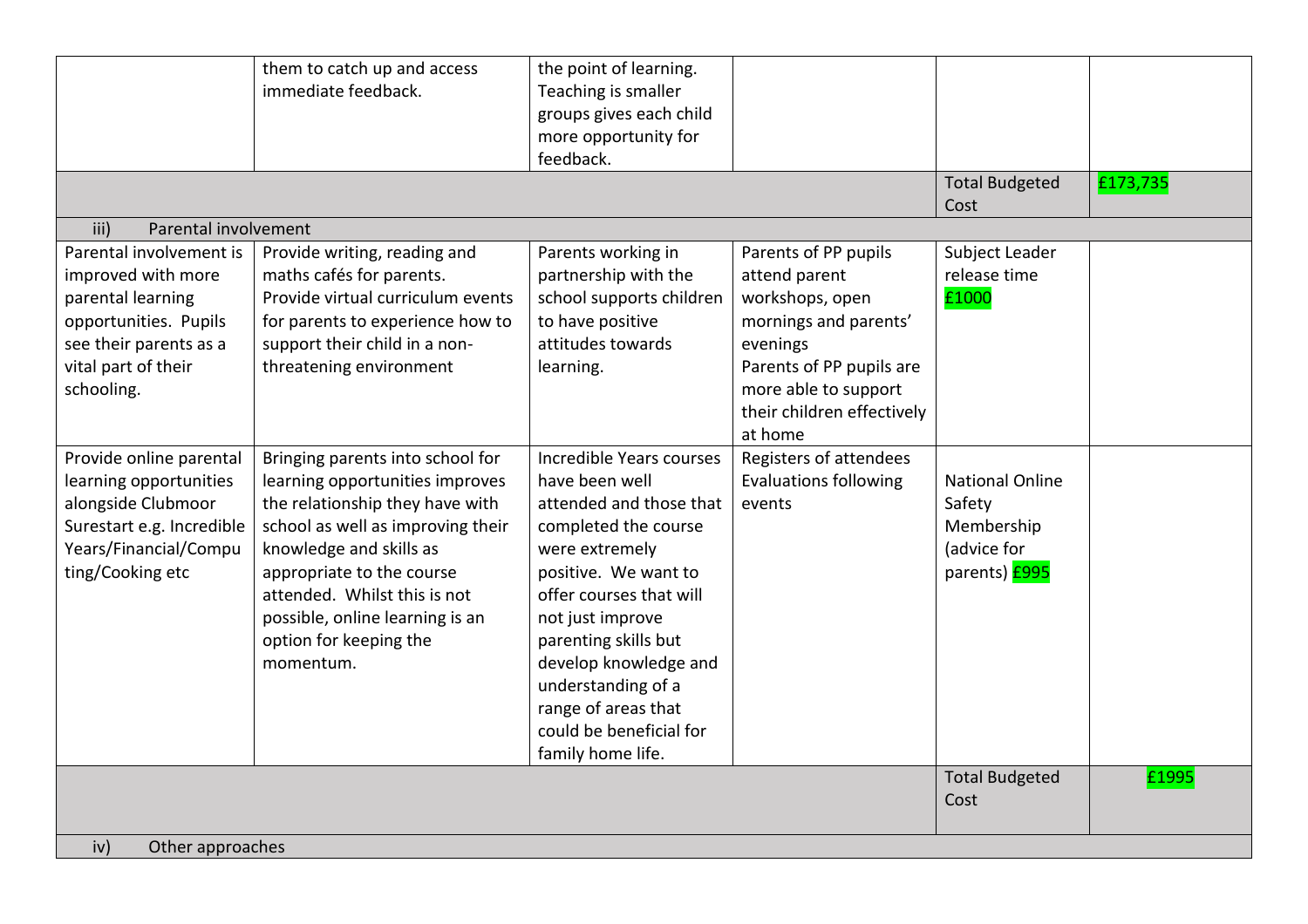|                              | them to catch up and access       | the point of learning.   |                              |                        |          |  |  |
|------------------------------|-----------------------------------|--------------------------|------------------------------|------------------------|----------|--|--|
|                              | immediate feedback.               | Teaching is smaller      |                              |                        |          |  |  |
|                              |                                   | groups gives each child  |                              |                        |          |  |  |
|                              |                                   | more opportunity for     |                              |                        |          |  |  |
|                              |                                   | feedback.                |                              |                        |          |  |  |
|                              |                                   |                          |                              | <b>Total Budgeted</b>  | £173,735 |  |  |
|                              |                                   |                          |                              | Cost                   |          |  |  |
| Parental involvement<br>iii) |                                   |                          |                              |                        |          |  |  |
| Parental involvement is      | Provide writing, reading and      | Parents working in       | Parents of PP pupils         | Subject Leader         |          |  |  |
| improved with more           | maths cafés for parents.          | partnership with the     | attend parent                | release time           |          |  |  |
| parental learning            | Provide virtual curriculum events | school supports children | workshops, open              | £1000                  |          |  |  |
| opportunities. Pupils        | for parents to experience how to  | to have positive         | mornings and parents'        |                        |          |  |  |
| see their parents as a       | support their child in a non-     | attitudes towards        | evenings                     |                        |          |  |  |
| vital part of their          | threatening environment           | learning.                | Parents of PP pupils are     |                        |          |  |  |
| schooling.                   |                                   |                          | more able to support         |                        |          |  |  |
|                              |                                   |                          | their children effectively   |                        |          |  |  |
|                              |                                   |                          | at home                      |                        |          |  |  |
| Provide online parental      | Bringing parents into school for  | Incredible Years courses | Registers of attendees       |                        |          |  |  |
| learning opportunities       | learning opportunities improves   | have been well           | <b>Evaluations following</b> | <b>National Online</b> |          |  |  |
| alongside Clubmoor           | the relationship they have with   | attended and those that  | events                       | Safety                 |          |  |  |
| Surestart e.g. Incredible    | school as well as improving their | completed the course     |                              | Membership             |          |  |  |
| Years/Financial/Compu        | knowledge and skills as           | were extremely           |                              | (advice for            |          |  |  |
| ting/Cooking etc             | appropriate to the course         | positive. We want to     |                              | parents) <b>£995</b>   |          |  |  |
|                              | attended. Whilst this is not      | offer courses that will  |                              |                        |          |  |  |
|                              | possible, online learning is an   | not just improve         |                              |                        |          |  |  |
|                              | option for keeping the            | parenting skills but     |                              |                        |          |  |  |
|                              | momentum.                         | develop knowledge and    |                              |                        |          |  |  |
|                              |                                   | understanding of a       |                              |                        |          |  |  |
|                              |                                   | range of areas that      |                              |                        |          |  |  |
|                              |                                   | could be beneficial for  |                              |                        |          |  |  |
|                              |                                   | family home life.        |                              |                        |          |  |  |
|                              |                                   |                          |                              | <b>Total Budgeted</b>  | £1995    |  |  |
|                              |                                   |                          |                              | Cost                   |          |  |  |
|                              |                                   |                          |                              |                        |          |  |  |
| iv)                          | Other approaches                  |                          |                              |                        |          |  |  |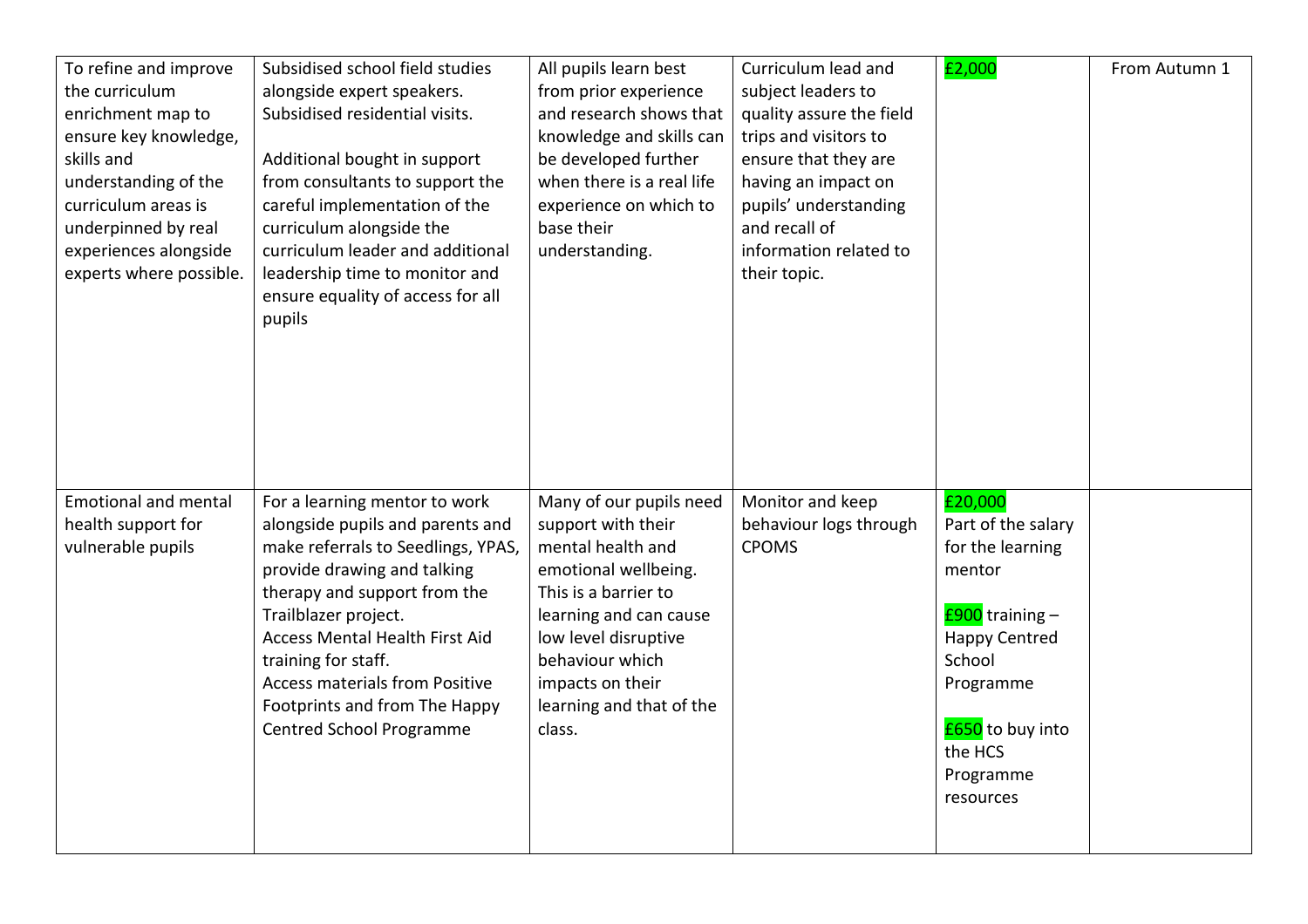| To refine and improve<br>the curriculum<br>enrichment map to<br>ensure key knowledge,<br>skills and<br>understanding of the<br>curriculum areas is<br>underpinned by real<br>experiences alongside<br>experts where possible. | Subsidised school field studies<br>alongside expert speakers.<br>Subsidised residential visits.<br>Additional bought in support<br>from consultants to support the<br>careful implementation of the<br>curriculum alongside the<br>curriculum leader and additional<br>leadership time to monitor and<br>ensure equality of access for all<br>pupils                        | All pupils learn best<br>from prior experience<br>and research shows that<br>knowledge and skills can<br>be developed further<br>when there is a real life<br>experience on which to<br>base their<br>understanding.                              | Curriculum lead and<br>subject leaders to<br>quality assure the field<br>trips and visitors to<br>ensure that they are<br>having an impact on<br>pupils' understanding<br>and recall of<br>information related to<br>their topic. | £2,000                                                                                                                                                                                 | From Autumn 1 |
|-------------------------------------------------------------------------------------------------------------------------------------------------------------------------------------------------------------------------------|-----------------------------------------------------------------------------------------------------------------------------------------------------------------------------------------------------------------------------------------------------------------------------------------------------------------------------------------------------------------------------|---------------------------------------------------------------------------------------------------------------------------------------------------------------------------------------------------------------------------------------------------|-----------------------------------------------------------------------------------------------------------------------------------------------------------------------------------------------------------------------------------|----------------------------------------------------------------------------------------------------------------------------------------------------------------------------------------|---------------|
| <b>Emotional and mental</b><br>health support for<br>vulnerable pupils                                                                                                                                                        | For a learning mentor to work<br>alongside pupils and parents and<br>make referrals to Seedlings, YPAS,<br>provide drawing and talking<br>therapy and support from the<br>Trailblazer project.<br><b>Access Mental Health First Aid</b><br>training for staff.<br><b>Access materials from Positive</b><br>Footprints and from The Happy<br><b>Centred School Programme</b> | Many of our pupils need<br>support with their<br>mental health and<br>emotional wellbeing.<br>This is a barrier to<br>learning and can cause<br>low level disruptive<br>behaviour which<br>impacts on their<br>learning and that of the<br>class. | Monitor and keep<br>behaviour logs through<br><b>CPOMS</b>                                                                                                                                                                        | £20,000<br>Part of the salary<br>for the learning<br>mentor<br>£900 training -<br><b>Happy Centred</b><br>School<br>Programme<br>£650 to buy into<br>the HCS<br>Programme<br>resources |               |